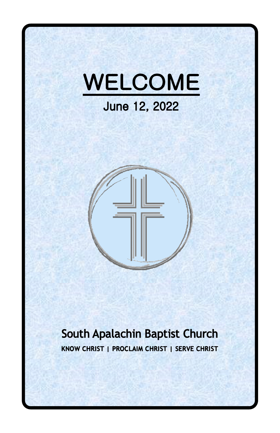



## South Apalachin Baptist Church KNOW CHRIST | PROCLAIM CHRIST | SERVE CHRIST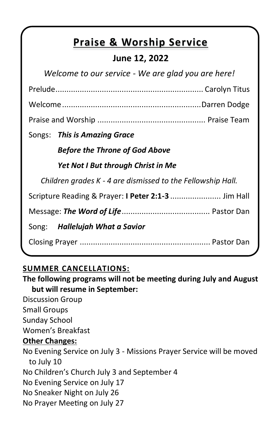# **Praise & Worship Service**

### **June 12, 2022**

| Welcome to our service - We are glad you are here!          |  |  |  |
|-------------------------------------------------------------|--|--|--|
|                                                             |  |  |  |
|                                                             |  |  |  |
|                                                             |  |  |  |
| Songs: This is Amazing Grace                                |  |  |  |
| <b>Before the Throne of God Above</b>                       |  |  |  |
| Yet Not I But through Christ in Me                          |  |  |  |
| Children grades K - 4 are dismissed to the Fellowship Hall. |  |  |  |
| Scripture Reading & Prayer: I Peter 2:1-3  Jim Hall         |  |  |  |
|                                                             |  |  |  |
| Song: Hallelujah What a Savior                              |  |  |  |
|                                                             |  |  |  |

### **SUMMER CANCELLATIONS:**

**The following programs will not be meeting during July and August but will resume in September:**

Discussion Group Small Groups Sunday School Women's Breakfast **Other Changes:** No Evening Service on July 3 - Missions Prayer Service will be moved to July 10 No Children's Church July 3 and September 4 No Evening Service on July 17 No Sneaker Night on July 26 No Prayer Meeting on July 27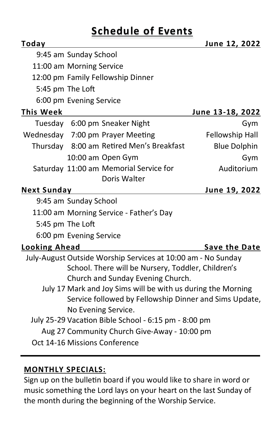# **Schedule of Events**

| Today                                                        |                                                        |                                                              | June 12, 2022           |  |
|--------------------------------------------------------------|--------------------------------------------------------|--------------------------------------------------------------|-------------------------|--|
|                                                              | 9:45 am Sunday School                                  |                                                              |                         |  |
|                                                              | 11:00 am Morning Service                               |                                                              |                         |  |
|                                                              | 12:00 pm Family Fellowship Dinner                      |                                                              |                         |  |
|                                                              | 5:45 pm The Loft                                       |                                                              |                         |  |
|                                                              | 6:00 pm Evening Service                                |                                                              |                         |  |
| <b>This Week</b>                                             |                                                        |                                                              | <u>June 13-18, 2022</u> |  |
|                                                              |                                                        | Tuesday 6:00 pm Sneaker Night                                | Gym                     |  |
|                                                              |                                                        | Wednesday 7:00 pm Prayer Meeting                             | Fellowship Hall         |  |
|                                                              |                                                        | Thursday 8:00 am Retired Men's Breakfast                     | <b>Blue Dolphin</b>     |  |
|                                                              | 10:00 am Open Gym                                      |                                                              | Gym                     |  |
|                                                              |                                                        | Saturday 11:00 am Memorial Service for<br>Doris Walter       | Auditorium              |  |
| <b>Next Sunday</b>                                           |                                                        |                                                              | June 19, 2022           |  |
|                                                              | 9:45 am Sunday School                                  |                                                              |                         |  |
|                                                              | 11:00 am Morning Service - Father's Day                |                                                              |                         |  |
|                                                              | 5:45 pm The Loft                                       |                                                              |                         |  |
|                                                              | 6:00 pm Evening Service                                |                                                              |                         |  |
| <b>Looking Ahead</b>                                         |                                                        |                                                              | Save the Date           |  |
|                                                              |                                                        | July-August Outside Worship Services at 10:00 am - No Sunday |                         |  |
| School. There will be Nursery, Toddler, Children's           |                                                        |                                                              |                         |  |
| Church and Sunday Evening Church.                            |                                                        |                                                              |                         |  |
| July 17 Mark and Joy Sims will be with us during the Morning |                                                        |                                                              |                         |  |
|                                                              | Service followed by Fellowship Dinner and Sims Update, |                                                              |                         |  |
| No Evening Service.                                          |                                                        |                                                              |                         |  |
|                                                              | July 25-29 Vacation Bible School - 6:15 pm - 8:00 pm   |                                                              |                         |  |
|                                                              | Aug 27 Community Church Give-Away - 10:00 pm           |                                                              |                         |  |
|                                                              | Oct 14-16 Missions Conference                          |                                                              |                         |  |

### **MONTHLY SPECIALS:**

Sign up on the bulletin board if you would like to share in word or music something the Lord lays on your heart on the last Sunday of the month during the beginning of the Worship Service.